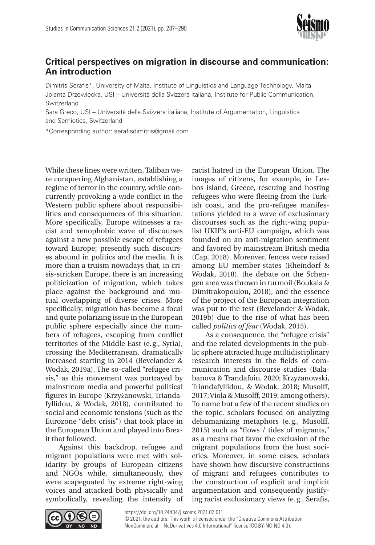

## **Critical perspectives on migration in discourse and communication: An introduction**

Dimitris Serafis\*, University of Malta, Institute of Linguistics and Language Technology, Malta Jolanta Drzewiecka, USI – Università della Svizzera italiana, Institute for Public Communication, Switzerland

Sara Greco, USI – Università della Svizzera italiana, Institute of Argumentation, Linguistics and Semiotics, Switzerland

\*Corresponding author: [serafisdimitris@gmail.com](mailto:serafisdimitris@gmail.com)

While these lines were written, Taliban were conquering Afghanistan, establishing a regime of terror in the country, while concurrently provoking a wide conflict in the Western public sphere about responsibilities and consequences of this situation. More specifically, Europe witnesses a racist and xenophobic wave of discourses against a new possible escape of refugees toward Europe; presently such discourses abound in politics and the media. It is more than a truism nowadays that, in crisis-stricken Europe, there is an increasing politicization of migration, which takes place against the background and mutual overlapping of diverse crises. More specifically, migration has become a focal and quite polarizing issue in the European public sphere especially since the numbers of refugees, escaping from conflict territories of the Middle East (e.g., Syria), crossing the Mediterranean, dramatically increased starting in 2014 (Bevelander & Wodak, 2019a). The so-called "refugee crisis," as this movement was portrayed by mainstream media and powerful political figures in Europe (Krzyżanowski, Triandafyllidou, & Wodak, 2018), contributed to social and economic tensions (such as the Eurozone "debt crisis") that took place in the European Union and played into Brexit that followed.

Against this backdrop, refugee and migrant populations were met with solidarity by groups of European citizens and NGOs while, simultaneously, they were scapegoated by extreme right-wing voices and attacked both physically and symbolically, revealing the intensity of

racist hatred in the European Union. The images of citizens, for example, in Lesbos island, Greece, rescuing and hosting refugees who were fleeing from the Turkish coast, and the pro-refugee manifestations yielded to a wave of exclusionary discourses such as the right-wing populist UKIP's anti-EU campaign, which was founded on an anti-migration sentiment and favored by mainstream British media (Cap, 2018). Moreover, fences were raised among EU member-states (Rheindorf & Wodak, 2018), the debate on the Schengen area was thrown in turmoil (Boukala & Dimitrakopoulou, 2018), and the essence of the project of the European integration was put to the test (Bevelander & Wodak, 2019b) due to the rise of what has been called *politics of fear* (Wodak, 2015).

As a consequence, the "refugee crisis" and the related developments in the public sphere attracted huge multidisciplinary research interests in the fields of communication and discourse studies (Balabanova & Trandafoiu, 2020; Krzyżanowski, Triandafyllidou, & Wodak, 2018; Musolff, 2017; Viola & Musolff, 2019; among others). To name but a few of the recent studies on the topic, scholars focused on analyzing dehumanizing metaphors (e.g., Musolff, 2015) such as "flows / tides of migrants," as a means that favor the exclusion of the migrant populations from the host societies. Moreover, in some cases, scholars have shown how discursive constructions of migrant and refugees contributes to the construction of explicit and implicit argumentation and consequently justifying racist exclusionary views (e.g., Serafis,



<https://doi.org/10.24434/j.scoms.2021.02.011>

[© 2021, the authors. This work is licensed under the "Creative Commons Attribution](https://creativecommons.org/licenses/by-nc-nd/4.0/) – [NonCommercial – NoDerivatives 4.0 International" license \(CC BY-NC-ND 4.0\).](https://creativecommons.org/licenses/by-nc-nd/4.0/)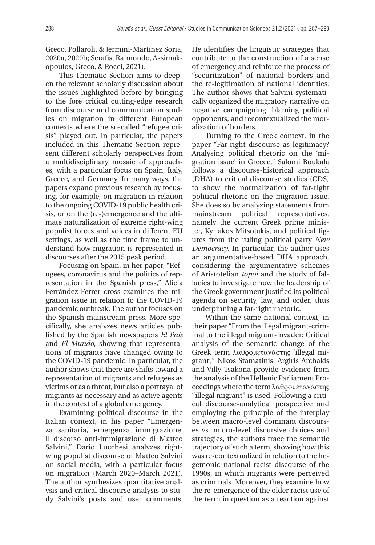Greco, Pollaroli, & Jermini-Martinez Soria, 2020a, 2020b; Serafis, Raimondo, Assimakopoulos, Greco, & Rocci, 2021).

This Thematic Section aims to deepen the relevant scholarly discussion about the issues highlighted before by bringing to the fore critical cutting-edge research from discourse and communication studies on migration in different European contexts where the so-called "refugee crisis" played out. In particular, the papers included in this Thematic Section represent different scholarly perspectives from a multidisciplinary mosaic of approaches, with a particular focus on Spain, Italy, Greece, and Germany. In many ways, the papers expand previous research by focusing, for example, on migration in relation to the ongoing COVID-19 public health crisis, or on the (re-)emergence and the ultimate naturalization of extreme right-wing populist forces and voices in different EU settings, as well as the time frame to understand how migration is represented in discourses after the 2015 peak period.

Focusing on Spain, in her paper, "Refugees, coronavirus and the politics of representation in the Spanish press," Alicia Ferrández-Ferrer cross-examines the migration issue in relation to the COVID-19 pandemic outbreak. The author focuses on the Spanish mainstream press. More specifically, she analyzes news articles published by the Spanish newspapers *El País* and *El Mundo*, showing that representations of migrants have changed owing to the COVID-19 pandemic. In particular, the author shows that there are shifts toward a representation of migrants and refugees as victims or as a threat, but also a portrayal of migrants as necessary and as active agents in the context of a global emergency.

Examining political discourse in the Italian context, in his paper "Emergenza sanitaria, emergenza immigrazione. Il discorso anti-immigrazione di Matteo Salvini," Dario Lucchesi analyzes rightwing populist discourse of Matteo Salvini on social media, with a particular focus on migration (March 2020–March 2021). The author synthesizes quantitative analysis and critical discourse analysis to study Salvini's posts and user comments.

He identifies the linguistic strategies that contribute to the construction of a sense of emergency and reinforce the process of "securitization" of national borders and the re-legitimation of national identities. The author shows that Salvini systematically organized the migratory narrative on negative campaigning, blaming political opponents, and recontextualized the moralization of borders.

Turning to the Greek context, in the paper "Far-right discourse as legitimacy? Analysing political rhetoric on the 'migration issue' in Greece," Salomi Boukala follows a discourse-historical approach (DHA) to critical discourse studies (CDS) to show the normalization of far-right political rhetoric on the migration issue. She does so by analyzing statements from mainstream political representatives, namely the current Greek prime minister, Kyriakos Mitsotakis, and political figures from the ruling political party *New Democracy*. In particular, the author uses an argumentative-based DHA approach, considering the argumentative schemes of Aristotelian *topoi* and the study of fallacies to investigate how the leadership of the Greek government justified its political agenda on security, law, and order, thus underpinning a far-right rhetoric.

Within the same national context, in their paper "From the illegal migrant-criminal to the illegal migrant-invader: Critical analysis of the semantic change of the Greek term λαθρομετανάστης 'illegal migrant'," Nikos Stamatinis, Argiris Archakis and Villy Tsakona provide evidence from the analysis of the Hellenic Parliament Proceedings where the term λαθρομετανάστης "illegal migrant" is used. Following a critical discourse-analytical perspective and employing the principle of the interplay between macro-level dominant discourses vs. micro-level discursive choices and strategies, the authors trace the semantic trajectory of such a term, showing how this was re-contextualized in relation to the hegemonic national-racist discourse of the 1990s, in which migrants were perceived as criminals. Moreover, they examine how the re-emergence of the older racist use of the term in question as a reaction against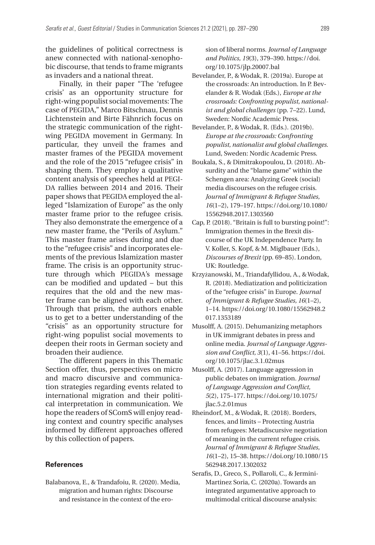the guidelines of political correctness is anew connected with national-xenophobic discourse, that tends to frame migrants as invaders and a national threat.

Finally, in their paper "The 'refugee crisis' as an opportunity structure for right-wing populist social movements: The case of PEGIDA," Marco Bitschnau, Dennis Lichtenstein and Birte Fähnrich focus on the strategic communication of the rightwing PEGIDA movement in Germany. In particular, they unveil the frames and master frames of the PEGIDA movement and the role of the 2015 "refugee crisis" in shaping them. They employ a qualitative content analysis of speeches held at PEGI-DA rallies between 2014 and 2016. Their paper shows that PEGIDA employed the alleged "Islamization of Europe" as the only master frame prior to the refugee crisis. They also demonstrate the emergence of a new master frame, the "Perils of Asylum." This master frame arises during and due to the "refugee crisis" and incorporates elements of the previous Islamization master frame. The crisis is an opportunity structure through which PEGIDA's message can be modified and updated – but this requires that the old and the new master frame can be aligned with each other. Through that prism, the authors enable us to get to a better understanding of the "crisis" as an opportunity structure for right-wing populist social movements to deepen their roots in German society and broaden their audience.

The different papers in this Thematic Section offer, thus, perspectives on micro and macro discursive and communication strategies regarding events related to international migration and their political interpretation in communication. We hope the readers of SComS will enjoy reading context and country specific analyses informed by different approaches offered by this collection of papers.

## **References**

Balabanova, E., & Trandafoiu, R. (2020). Media, migration and human rights: Discourse and resistance in the context of the erosion of liberal norms. *Journal of Language and Politics, 19*(3), 379–390. [https://doi.](https://doi.org/10.1075/jlp.20007.bal) [org/10.1075/jlp.20007.bal](https://doi.org/10.1075/jlp.20007.bal)

- Bevelander, P., & Wodak, R. (2019a). Europe at the crossroads: An introduction. In P. Bevelander & R. Wodak (Eds.), *Europe at the crossroads: Confronting populist, nationalist and global challenges* (pp. 7–22). Lund, Sweden: Nordic Academic Press.
- Bevelander, P., & Wodak, R. (Eds.). (2019b). *Europe at the crossroads: Confronting populist, nationalist and global challenges.* Lund, Sweden: Nordic Academic Press.
- Boukala, S., & Dimitrakopoulou, D. (2018). Absurdity and the "blame game" within the Schengen area: Analyzing Greek (social) media discourses on the refugee crisis. *Journal of Immigrant & Refugee Studies, 16*(1–2), 179–197. [https://doi.org/10.1080/](https://doi.org/10.1080/15562948.2017.1303560) [15562948.2017.1303560](https://doi.org/10.1080/15562948.2017.1303560)
- Cap, P. (2018). "Britain is full to bursting point!": Immigration themes in the Brexit discourse of the UK Independence Party. In V. Koller, S. Kopf, & M. Miglbauer (Eds.), *Discourses of Brexit* (pp. 69–85). London, UK: Routledge.
- Krzyżanowski, M., Triandafyllidou, A., & Wodak, R. (2018). Mediatization and politicization of the "refugee crisis" in Europe. *Journal of Immigrant & Refugee Studies, 16*(1–2), 1–14. [https://doi.org/10.1080/15562948.2](https://doi.org/10.1080/15562948.2017.1353189) [017.1353189](https://doi.org/10.1080/15562948.2017.1353189)
- Musolff, A. (2015). Dehumanizing metaphors in UK immigrant debates in press and online media. *Journal of Language Aggression and Conflict, 3*(1), 41–56. [https://doi.](https://doi.org/10.1075/jlac.3.1.02mus) [org/10.1075/jlac.3.1.02mus](https://doi.org/10.1075/jlac.3.1.02mus)
- Musolff, A. (2017). Language aggression in public debates on immigration. *Journal of Language Aggression and Conflict, 5*(2), 175–177. [https://doi.org/10.1075/](https://doi.org/10.1075/jlac.5.2.01mus) [jlac.5.2.01mus](https://doi.org/10.1075/jlac.5.2.01mus)
- Rheindorf, M., & Wodak, R. (2018). Borders, fences, and limits – Protecting Austria from refugees: Metadiscursive negotiation of meaning in the current refugee crisis. *Journal of Immigrant & Refugee Studies, 16*(1–2), 15–38. [https://doi.org/10.1080/15](https://doi.org/10.1080/15562948.2017.1302032) [562948.2017.1302032](https://doi.org/10.1080/15562948.2017.1302032)
- Serafis, D., Greco, S., Pollaroli, C., & Jermini--Martinez Soria, C. (2020a). Towards an integrated argumentative approach to multimodal critical discourse analysis: